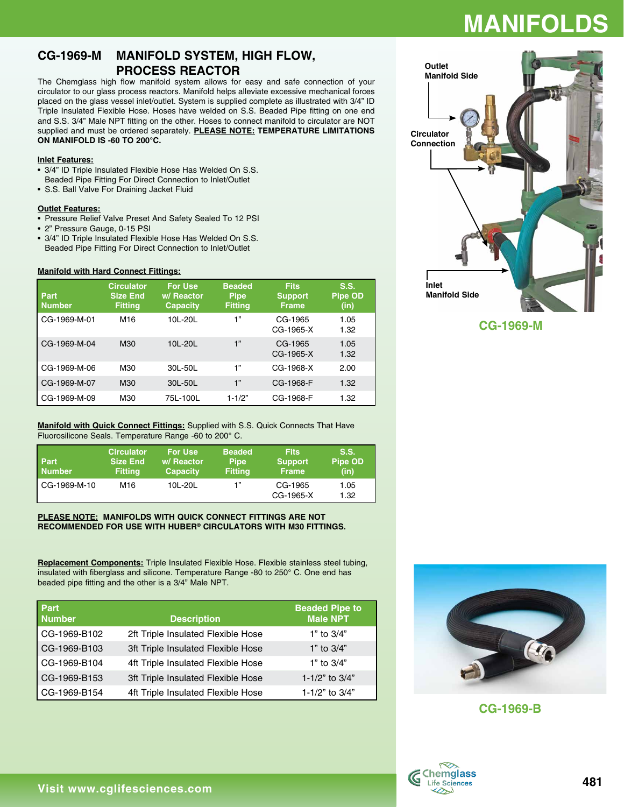## **MANIFOLD**

### **CG-1969-M MANIFOLD SYSTEM, HIGH FLOW, PROCESS REACTOR**

The Chemglass high flow manifold system allows for easy and safe connection of your circulator to our glass process reactors. Manifold helps alleviate excessive mechanical forces placed on the glass vessel inlet/outlet. System is supplied complete as illustrated with 3/4" ID Triple Insulated Flexible Hose. Hoses have welded on S.S. Beaded Pipe fitting on one end and S.S. 3/4" Male NPT fitting on the other. Hoses to connect manifold to circulator are NOT supplied and must be ordered separately. **PLEASE NOTE: TEMPERATURE LIMITATIONS ON MANIFOLD IS -60 TO 200°C.**

#### **Inlet Features:**

- 3/4" ID Triple Insulated Flexible Hose Has Welded On S.S. Beaded Pipe Fitting For Direct Connection to Inlet/Outlet
- • S.S. Ball Valve For Draining Jacket Fluid

#### **Outlet Features:**

- Pressure Relief Valve Preset And Safety Sealed To 12 PSI
- 2" Pressure Gauge, 0-15 PSI
- 3/4" ID Triple Insulated Flexible Hose Has Welded On S.S. Beaded Pipe Fitting For Direct Connection to Inlet/Outlet

#### **Manifold with Hard Connect Fittings:**

| Part<br><b>Number</b> | <b>Circulator</b><br><b>Size End</b><br><b>Fitting</b> | <b>For Use</b><br>w/ Reactor<br><b>Capacity</b> | <b>Beaded</b><br><b>Pipe</b><br><b>Fitting</b> | <b>Fits</b><br><b>Support</b><br>Frame | S.S.<br><b>Pipe OD</b><br>(in) |
|-----------------------|--------------------------------------------------------|-------------------------------------------------|------------------------------------------------|----------------------------------------|--------------------------------|
| CG-1969-M-01          | M <sub>16</sub>                                        | 10L-20L                                         | 1"                                             | CG-1965<br>CG-1965-X                   | 1.05<br>1.32                   |
| CG-1969-M-04          | M30                                                    | 10L-20L                                         | 1"                                             | CG-1965<br>CG-1965-X                   | 1.05<br>1.32                   |
| CG-1969-M-06          | M30                                                    | 30L-50L                                         | 1"                                             | CG-1968-X                              | 2.00                           |
| CG-1969-M-07          | M30                                                    | 30L-50L                                         | 1"                                             | CG-1968-F                              | 1.32                           |
| CG-1969-M-09          | M30                                                    | 75L-100L                                        | $1 - 1/2"$                                     | CG-1968-F                              | 1.32                           |

#### **Manifold with Quick Connect Fittings:** Supplied with S.S. Quick Connects That Have Fluorosilicone Seals. Temperature Range -60 to 200° C.

| <b>Part</b><br>Number | <b>Circulator</b><br><b>Size End</b><br><b>Fitting</b> | <b>For Use</b><br>w/ Reactor<br><b>Capacity</b> | <b>Beaded</b><br><b>Pipe</b><br><b>Fitting</b> | <b>Fits</b><br><b>Support</b><br><b>Frame</b> | S.S.<br><b>Pipe OD</b><br>(in) |
|-----------------------|--------------------------------------------------------|-------------------------------------------------|------------------------------------------------|-----------------------------------------------|--------------------------------|
| CG-1969-M-10          | M16                                                    | 10L-20L                                         | 1"                                             | CG-1965<br>CG-1965-X                          | 1.05<br>1.32                   |

#### **PLEASE NOTE: MANIFOLDS WITH QUICK CONNECT FITTINGS ARE NOT RECOMMENDED FOR USE WITH HUBER® CIRCULATORS WITH M30 FITTINGS.**

**Replacement Components:** Triple Insulated Flexible Hose. Flexible stainless steel tubing, insulated with fiberglass and silicone. Temperature Range -80 to 250° C. One end has beaded pipe fitting and the other is a 3/4" Male NPT.

| Part<br><b>Number</b> | <b>Description</b>                 | <b>Beaded Pipe to</b><br><b>Male NPT</b> |
|-----------------------|------------------------------------|------------------------------------------|
| CG-1969-B102          | 2ft Triple Insulated Flexible Hose | 1" to $3/4"$                             |
| CG-1969-B103          | 3ft Triple Insulated Flexible Hose | 1" to $3/4$ "                            |
| CG-1969-B104          | 4ft Triple Insulated Flexible Hose | 1" to $3/4"$                             |
| CG-1969-B153          | 3ft Triple Insulated Flexible Hose | 1-1/2" to $3/4"$                         |
| CG-1969-B154          | 4ft Triple Insulated Flexible Hose | 1-1/2" to 3/4"                           |



**CG-1969-M**



**CG-1969-B**